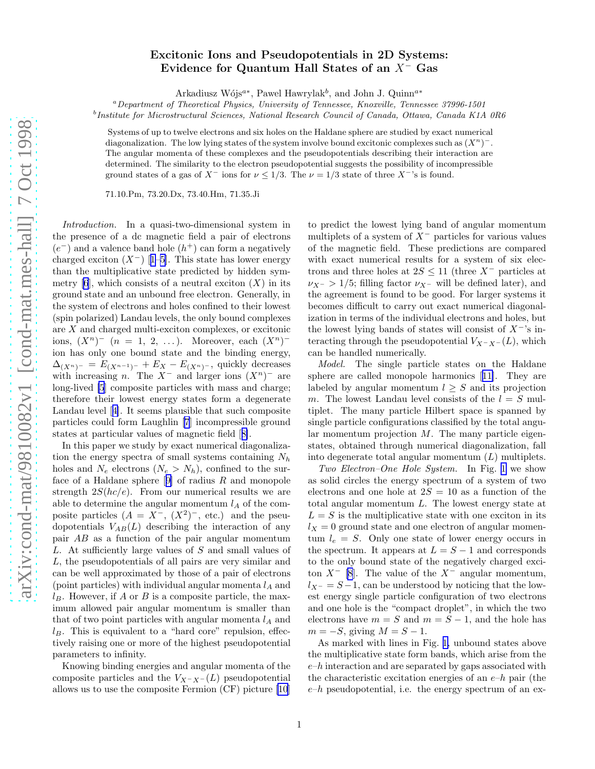## Excitonic Ions and Pseudopotentials in 2D Systems: Evidence for Quantum Hall States of an X<sup>−</sup> Gas

Arkadiusz Wójs<sup> $a*$ </sup>, Pawel Hawrylak<sup>b</sup>, and John J. Quinn<sup> $a*$ </sup>

<sup>a</sup>Department of Theoretical Physics, University of Tennessee, Knoxville, Tennessee 37996-1501

<sup>b</sup>Institute for Microstructural Sciences, National Research Council of Canada, Ottawa, Canada K1A 0R6

Systems of up to twelve electrons and six holes on the Haldane sphere are studied by exact numerical diagonalization. The low lying states of the system involve bound excitonic complexes such as  $(X^n)^-$ . The angular momenta of these complexes and the pseudopotentials describing their interaction are determined. The similarity to the electron pseudopotential suggests the possibility of incompressible ground states of a gas of  $X^-$  ions for  $\nu \leq 1/3$ . The  $\nu = 1/3$  state of three  $X^-$ 's is found.

71.10.Pm, 73.20.Dx, 73.40.Hm, 71.35.Ji

Introduction. In a quasi-two-dimensional system in the presence of a dc magnetic field a pair of electrons  $(e^-)$  and a valence band hole  $(h^+)$  can form a negatively chargedexciton  $(X^-)$  [[1–5\]](#page-3-0). This state has lower energy than the multiplicative state predicted by hidden sym-metry [\[6](#page-3-0)], which consists of a neutral exciton  $(X)$  in its ground state and an unbound free electron. Generally, in the system of electrons and holes confined to their lowest (spin polarized) Landau levels, the only bound complexes are X and charged multi-exciton complexes, or excitonic ions,  $(X^n)$ <sup>-</sup>  $(n = 1, 2, ...)$ . Moreover, each  $(X^n)$ <sup>-</sup> ion has only one bound state and the binding energy,  $\Delta_{(X^n)^-} = E_{(X^{n-1})^-} + E_X - E_{(X^n)^-}$ , quickly decreases with increasing n. The  $X^-$  and larger ions  $(X^n)^-$  are long-lived [\[5](#page-3-0)] composite particles with mass and charge; therefore their lowest energy states form a degenerate Landau level[[4\]](#page-3-0). It seems plausible that such composite particles could form Laughlin [\[7](#page-3-0)] incompressible ground states at particular values of magnetic field[[8\]](#page-3-0).

In this paper we study by exact numerical diagonalization the energy spectra of small systems containing  $N_h$ holes and  $N_e$  electrons  $(N_e > N_h)$ , confined to the surfaceof a Haldane sphere  $[9]$  $[9]$  of radius  $R$  and monopole strength  $2S(hc/e)$ . From our numerical results we are able to determine the angular momentum  $l_A$  of the composite particles  $(A = X^{-}, (X^2)^{-},$  etc.) and the pseudopotentials  $V_{AB}(L)$  describing the interaction of any pair AB as a function of the pair angular momentum L. At sufficiently large values of S and small values of L, the pseudopotentials of all pairs are very similar and can be well approximated by those of a pair of electrons (point particles) with individual angular momenta  $l_A$  and  $l_B$ . However, if A or B is a composite particle, the maximum allowed pair angular momentum is smaller than that of two point particles with angular momenta  $l_A$  and  $l_B$ . This is equivalent to a "hard core" repulsion, effectively raising one or more of the highest pseudopotential parameters to infinity.

Knowing binding energies and angular momenta of the composite particles and the  $V_{X-X-}(L)$  pseudopotential allows us to use the composite Fermion (CF) picture [\[10](#page-3-0)]

to predict the lowest lying band of angular momentum multiplets of a system of  $X^-$  particles for various values of the magnetic field. These predictions are compared with exact numerical results for a system of six electrons and three holes at  $2S \le 11$  (three X<sup>-</sup> particles at  $\nu_{X^-} > 1/5$ ; filling factor  $\nu_{X^-}$  will be defined later), and the agreement is found to be good. For larger systems it becomes difficult to carry out exact numerical diagonalization in terms of the individual electrons and holes, but the lowest lying bands of states will consist of  $X^{-1}$ 's interacting through the pseudopotential  $V_{X-X-}(L)$ , which can be handled numerically.

Model. The single particle states on the Haldane sphere are called monopole harmonics[[11\]](#page-3-0). They are labeled by angular momentum  $l \geq S$  and its projection m. The lowest Landau level consists of the  $l = S$  multiplet. The many particle Hilbert space is spanned by single particle configurations classified by the total angular momentum projection  $M$ . The many particle eigenstates, obtained through numerical diagonalization, fall into degenerate total angular momentum  $(L)$  multiplets.

Two Electron–One Hole System. In Fig. [1](#page-1-0) we show as solid circles the energy spectrum of a system of two electrons and one hole at  $2S = 10$  as a function of the total angular momentum L. The lowest energy state at  $L = S$  is the multiplicative state with one exciton in its  $l_X = 0$  ground state and one electron of angular momentum  $l_e = S$ . Only one state of lower energy occurs in the spectrum. It appears at  $L = S - 1$  and corresponds to the only bound state of the negatively charged exciton  $X^-$  [\[8](#page-3-0)]. The value of the  $X^-$  angular momentum,  $l_{X^-} = S - 1$ , can be understood by noticing that the lowest energy single particle configuration of two electrons and one hole is the "compact droplet", in which the two electrons have  $m = S$  and  $m = S - 1$ , and the hole has  $m = -S$ , giving  $M = S - 1$ .

As marked with lines in Fig. [1,](#page-1-0) unbound states above the multiplicative state form bands, which arise from the  $e-h$  interaction and are separated by gaps associated with the characteristic excitation energies of an  $e-h$  pair (the  $e-h$  pseudopotential, i.e. the energy spectrum of an ex-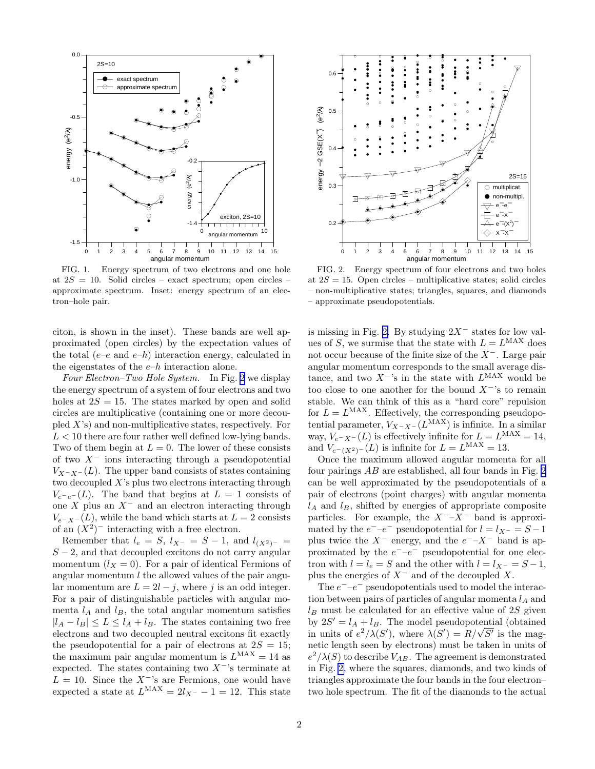<span id="page-1-0"></span>

FIG. 1. Energy spectrum of two electrons and one hole at  $2S = 10$ . Solid circles – exact spectrum; open circles – approximate spectrum. Inset: energy spectrum of an electron–hole pair.

citon, is shown in the inset). These bands are well approximated (open circles) by the expectation values of the total (e–e and e–h) interaction energy, calculated in the eigenstates of the  $e-h$  interaction alone.

Four Electron–Two Hole System. In Fig. 2 we display the energy spectrum of a system of four electrons and two holes at  $2S = 15$ . The states marked by open and solid circles are multiplicative (containing one or more decoupled  $X$ 's) and non-multiplicative states, respectively. For  $L < 10$  there are four rather well defined low-lying bands. Two of them begin at  $L = 0$ . The lower of these consists of two  $X^-$  ions interacting through a pseudopotential  $V_{X-X^-}(L)$ . The upper band consists of states containing two decoupled  $X$ 's plus two electrons interacting through  $V_{e^-e^-}(L)$ . The band that begins at  $L = 1$  consists of one X plus an  $X^-$  and an electron interacting through  $V_{e^-X^-}(L)$ , while the band which starts at  $L = 2$  consists of an  $(X^2)$ <sup>-</sup> interacting with a free electron.

Remember that  $l_e = S$ ,  $l_{X^-} = S - 1$ , and  $l_{(X^2)^-} =$  $S - 2$ , and that decoupled excitons do not carry angular momentum  $(l_X = 0)$ . For a pair of identical Fermions of angular momentum  $l$  the allowed values of the pair angular momentum are  $L = 2l - j$ , where j is an odd integer. For a pair of distinguishable particles with angular momenta  $l_A$  and  $l_B$ , the total angular momentum satisfies  $|l_A - l_B| \le L \le l_A + l_B$ . The states containing two free electrons and two decoupled neutral excitons fit exactly the pseudopotential for a pair of electrons at  $2S = 15$ ; the maximum pair angular momentum is  $L^{\text{MAX}} = 14$  as expected. The states containing two  $X^-$ 's terminate at  $L = 10$ . Since the  $X^{-1}$ 's are Fermions, one would have expected a state at  $L^{\text{MAX}} = 2l_{X^-} - 1 = 12$ . This state



FIG. 2. Energy spectrum of four electrons and two holes at  $2S = 15$ . Open circles – multiplicative states; solid circles – non-multiplicative states; triangles, squares, and diamonds – approximate pseudopotentials.

is missing in Fig. 2. By studying  $2X^-$  states for low values of S, we surmise that the state with  $L = L^{MAX}$  does not occur because of the finite size of the X<sup>−</sup>. Large pair angular momentum corresponds to the small average distance, and two  $X^-$ 's in the state with  $L^{\text{MAX}}$  would be too close to one another for the bound  $X^-$ 's to remain stable. We can think of this as a "hard core" repulsion for  $L = L^{MAX}$ . Effectively, the corresponding pseudopotential parameter,  $V_{X^-X^-}(L^{MAX})$  is infinite. In a similar way,  $V_{e^-X^-}(L)$  is effectively infinite for  $L = L^{MAX} = 14$ , and  $V_{e^-(X^2)^-}(L)$  is infinite for  $L = L^{MAX} = 13$ .

Once the maximum allowed angular momenta for all four pairings AB are established, all four bands in Fig. 2 can be well approximated by the pseudopotentials of a pair of electrons (point charges) with angular momenta  $l_A$  and  $l_B$ , shifted by energies of appropriate composite particles. For example, the  $X^-$ – $X^-$  band is approximated by the  $e^-$ – $e^-$  pseudopotential for  $l = l_{X^-} = S - 1$ plus twice the  $X^-$  energy, and the  $e^-$ - $X^-$  band is approximated by the  $e^-$ - $e^-$  pseudopotential for one electron with  $l = l_e = S$  and the other with  $l = l_{X^-} = S - 1$ , plus the energies of  $X^-$  and of the decoupled X.

The  $e^-$ – $e^-$  pseudopotentials used to model the interaction between pairs of particles of angular momenta  $l_A$  and  $l_B$  must be calculated for an effective value of 2S given by  $2S' = l_A + l_B$ . The model pseudopotential (obtained in units of  $e^2/\lambda(S')$ , where  $\lambda(S') = R/\sqrt{S'}$  is the magnetic length seen by electrons) must be taken in units of  $e^2/\lambda(S)$  to describe  $V_{AB}$ . The agreement is demonstrated in Fig. 2, where the squares, diamonds, and two kinds of triangles approximate the four bands in the four electron– two hole spectrum. The fit of the diamonds to the actual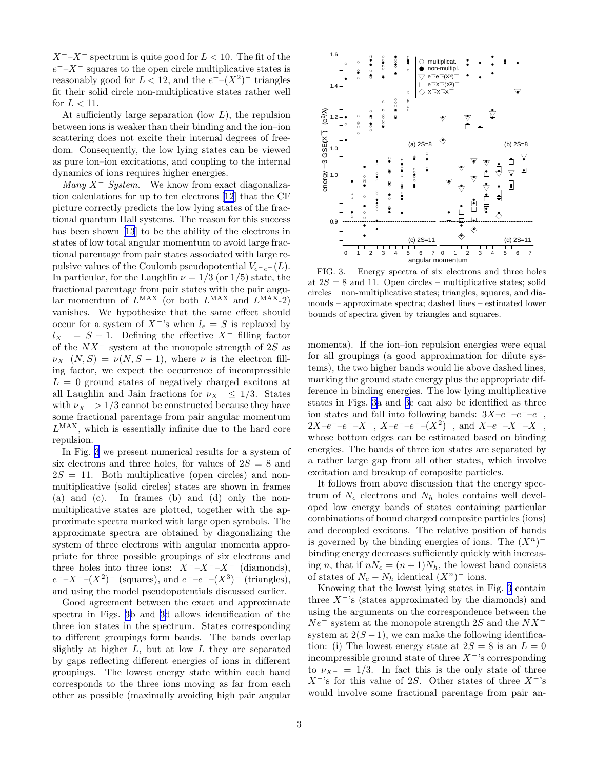$X^-$ – $X^-$  spectrum is quite good for  $L < 10$ . The fit of the  $e^-$ – $X^-$  squares to the open circle multiplicative states is reasonably good for  $L < 12$ , and the  $e^{--(X^2)}$  triangles fit their solid circle non-multiplicative states rather well for  $L < 11$ .

At sufficiently large separation (low  $L$ ), the repulsion between ions is weaker than their binding and the ion–ion scattering does not excite their internal degrees of freedom. Consequently, the low lying states can be viewed as pure ion–ion excitations, and coupling to the internal dynamics of ions requires higher energies.

Many  $X^-$  System. We know from exact diagonalization calculations for up to ten electrons[[12](#page-3-0)] that the CF picture correctly predicts the low lying states of the fractional quantum Hall systems. The reason for this success has been shown [\[13](#page-3-0)] to be the ability of the electrons in states of low total angular momentum to avoid large fractional parentage from pair states associated with large repulsive values of the Coulomb pseudopotential  $V_{e^-e^-}(L)$ . In particular, for the Laughlin  $\nu = 1/3$  (or  $1/5$ ) state, the fractional parentage from pair states with the pair angular momentum of  $L^{MAX}$  (or both  $L^{MAX}$  and  $L^{MAX-2}$ ) vanishes. We hypothesize that the same effect should occur for a system of  $X^-$ 's when  $l_e = S$  is replaced by  $l_{X^-} = S - 1$ . Defining the effective  $X^-$  filling factor of the  $NX^-$  system at the monopole strength of 2S as  $\nu_{X^-}(N, S) = \nu(N, S - 1)$ , where  $\nu$  is the electron filling factor, we expect the occurrence of incompressible  $L = 0$  ground states of negatively charged excitons at all Laughlin and Jain fractions for  $\nu_{X^-} \leq 1/3$ . States with  $\nu_{X^-} > 1/3$  cannot be constructed because they have some fractional parentage from pair angular momentum  $L<sup>MAX</sup>$ , which is essentially infinite due to the hard core repulsion.

In Fig. 3 we present numerical results for a system of six electrons and three holes, for values of  $2S = 8$  and  $2S = 11$ . Both multiplicative (open circles) and nonmultiplicative (solid circles) states are shown in frames (a) and (c). In frames (b) and (d) only the nonmultiplicative states are plotted, together with the approximate spectra marked with large open symbols. The approximate spectra are obtained by diagonalizing the system of three electrons with angular momenta appropriate for three possible groupings of six electrons and three holes into three ions:  $X^-$ – $X^-$  (diamonds),  $e^-$ -X<sup>-</sup>-(X<sup>2</sup>)<sup>-</sup> (squares), and  $e^-$ - $e^-$ -(X<sup>3</sup>)<sup>-</sup> (triangles), and using the model pseudopotentials discussed earlier.

Good agreement between the exact and approximate spectra in Figs. 3b and 3d allows identification of the three ion states in the spectrum. States corresponding to different groupings form bands. The bands overlap slightly at higher  $L$ , but at low  $L$  they are separated by gaps reflecting different energies of ions in different groupings. The lowest energy state within each band corresponds to the three ions moving as far from each other as possible (maximally avoiding high pair angular



FIG. 3. Energy spectra of six electrons and three holes at  $2S = 8$  and 11. Open circles – multiplicative states; solid circles – non-multiplicative states; triangles, squares, and diamonds – approximate spectra; dashed lines – estimated lower bounds of spectra given by triangles and squares.

momenta). If the ion–ion repulsion energies were equal for all groupings (a good approximation for dilute systems), the two higher bands would lie above dashed lines, marking the ground state energy plus the appropriate difference in binding energies. The low lying multiplicative states in Figs. 3a and 3c can also be identified as three ion states and fall into following bands:  $3X-e^-e^-e^-$ ,  $2X-e^- -e^- -X^-$ ,  $X-e^- -e^- - (X^2)^-$ , and  $X-e^- -X^- -X^-$ , whose bottom edges can be estimated based on binding energies. The bands of three ion states are separated by a rather large gap from all other states, which involve excitation and breakup of composite particles.

It follows from above discussion that the energy spectrum of  $N_e$  electrons and  $N_h$  holes contains well developed low energy bands of states containing particular combinations of bound charged composite particles (ions) and decoupled excitons. The relative position of bands is governed by the binding energies of ions. The  $(X^n)^$ binding energy decreases sufficiently quickly with increasing n, that if  $nN_e = (n+1)N_h$ , the lowest band consists of states of  $N_e - N_h$  identical  $(X^n)^-$  ions.

Knowing that the lowest lying states in Fig. 3 contain three  $X^-$ 's (states approximated by the diamonds) and using the arguments on the correspondence between the  $Ne^-$  system at the monopole strength 2S and the  $NX^$ system at  $2(S-1)$ , we can make the following identification: (i) The lowest energy state at  $2S = 8$  is an  $L = 0$ incompressible ground state of three  $X^{-}$ 's corresponding to  $\nu_{X^-} = 1/3$ . In fact this is the only state of three  $X^-$ 's for this value of 2S. Other states of three  $X^-$ 's would involve some fractional parentage from pair an-